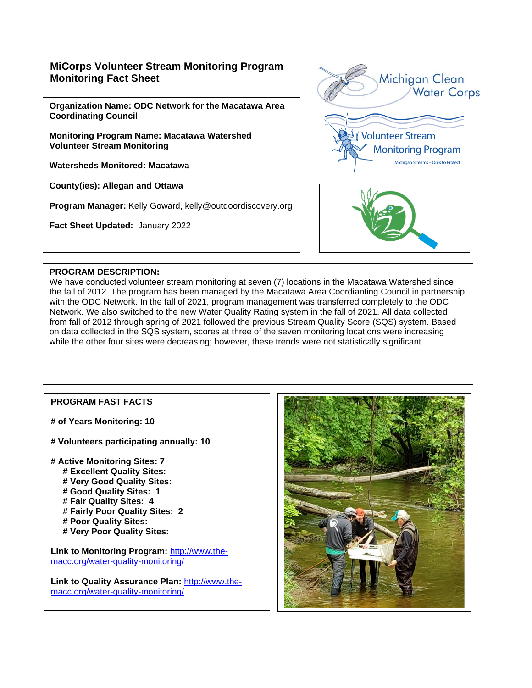# **MiCorps Volunteer Stream Monitoring Program Monitoring Fact Sheet**

**Organization Name: ODC Network for the Macatawa Area Coordinating Council**

**Monitoring Program Name: Macatawa Watershed Volunteer Stream Monitoring**

**Watersheds Monitored: Macatawa**

**County(ies): Allegan and Ottawa**

**Program Manager:** Kelly Goward, kelly@outdoordiscovery.org

**Fact Sheet Updated:** January 2022



#### **PROGRAM DESCRIPTION:**

We have conducted volunteer stream monitoring at seven (7) locations in the Macatawa Watershed since the fall of 2012. The program has been managed by the Macatawa Area Coordianting Council in partnership with the ODC Network. In the fall of 2021, program management was transferred completely to the ODC Network. We also switched to the new Water Quality Rating system in the fall of 2021. All data collected from fall of 2012 through spring of 2021 followed the previous Stream Quality Score (SQS) system. Based on data collected in the SQS system, scores at three of the seven monitoring locations were increasing while the other four sites were decreasing; however, these trends were not statistically significant.

### **PROGRAM FAST FACTS**

- **# of Years Monitoring: 10**
- **# Volunteers participating annually: 10**

**# Active Monitoring Sites: 7 # Excellent Quality Sites: # Very Good Quality Sites: # Good Quality Sites: 1 # Fair Quality Sites: 4 # Fairly Poor Quality Sites: 2 # Poor Quality Sites: # Very Poor Quality Sites:** 

**Link to Monitoring Program:** [http://www.the](http://www.the-macc.org/water-quality-monitoring/)[macc.org/water-quality-monitoring/](http://www.the-macc.org/water-quality-monitoring/)

**Link to Quality Assurance Plan:** [http://www.the](http://www.the-macc.org/water-quality-monitoring/)[macc.org/water-quality-monitoring/](http://www.the-macc.org/water-quality-monitoring/)